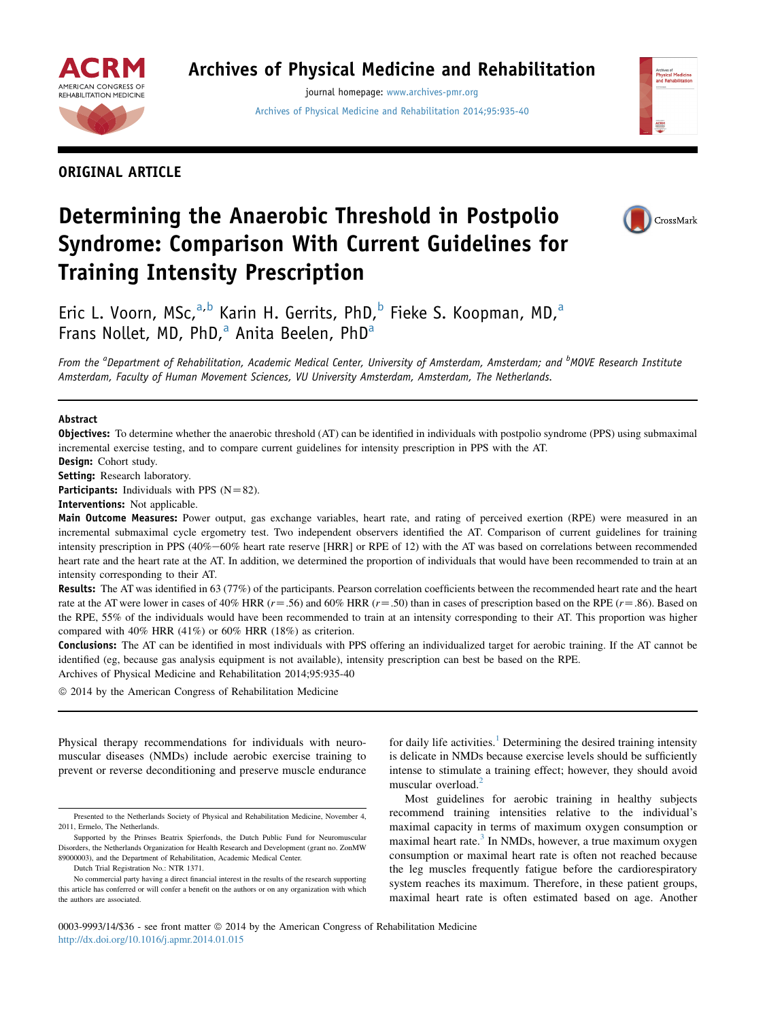

## Archives of Physical Medicine and Rehabilitation

journal homepage: [www.archives-pmr.org](http://www.archives-pmr.org) [Archives of Physical Medicine and Rehabilitation 2014;95:935-40](http://dx.doi.org/10.1016/j.apmr.2014.01.015)





# Determining the Anaerobic Threshold in Postpolio Syndrome: Comparison With Current Guidelines for Training Intensity Prescription



Eric L. Voorn, MSc, $a,b$  Karin H. Gerrits, PhD, $b$  Fieke S. Koopman, MD, $a$ Frans Nollet, MD, PhD, $^a$  Anita Beelen, PhD $^a$ 

From the <sup>a</sup>Department of Rehabilitation, Academic Medical Center, University of Amsterdam, Amsterdam; and <sup>b</sup>MOVE Research Institute Amsterdam, Faculty of Human Movement Sciences, VU University Amsterdam, Amsterdam, The Netherlands.

#### Abstract

Objectives: To determine whether the anaerobic threshold (AT) can be identified in individuals with postpolio syndrome (PPS) using submaximal incremental exercise testing, and to compare current guidelines for intensity prescription in PPS with the AT.

Design: Cohort study. Setting: Research laboratory.

**Participants:** Individuals with PPS  $(N=82)$ .

Interventions: Not applicable.

Main Outcome Measures: Power output, gas exchange variables, heart rate, and rating of perceived exertion (RPE) were measured in an incremental submaximal cycle ergometry test. Two independent observers identified the AT. Comparison of current guidelines for training intensity prescription in PPS (40%-60% heart rate reserve [HRR] or RPE of 12) with the AT was based on correlations between recommended heart rate and the heart rate at the AT. In addition, we determined the proportion of individuals that would have been recommended to train at an intensity corresponding to their AT.

Results: The AT was identified in 63 (77%) of the participants. Pearson correlation coefficients between the recommended heart rate and the heart rate at the AT were lower in cases of 40% HRR ( $r = .56$ ) and 60% HRR ( $r = .50$ ) than in cases of prescription based on the RPE ( $r = .86$ ). Based on the RPE, 55% of the individuals would have been recommended to train at an intensity corresponding to their AT. This proportion was higher compared with 40% HRR (41%) or 60% HRR (18%) as criterion.

Conclusions: The AT can be identified in most individuals with PPS offering an individualized target for aerobic training. If the AT cannot be identified (eg, because gas analysis equipment is not available), intensity prescription can best be based on the RPE.

Archives of Physical Medicine and Rehabilitation 2014;95:935-40

 $©$  2014 by the American Congress of Rehabilitation Medicine

Physical therapy recommendations for individuals with neuromuscular diseases (NMDs) include aerobic exercise training to prevent or reverse deconditioning and preserve muscle endurance

for daily life activities.<sup>[1](#page-5-0)</sup> Determining the desired training intensity is delicate in NMDs because exercise levels should be sufficiently intense to stimulate a training effect; however, they should avoid muscular overload.<sup>[2](#page-5-0)</sup>

Most guidelines for aerobic training in healthy subjects recommend training intensities relative to the individual's maximal capacity in terms of maximum oxygen consumption or maximal heart rate.<sup>[3](#page-5-0)</sup> In NMDs, however, a true maximum oxygen consumption or maximal heart rate is often not reached because the leg muscles frequently fatigue before the cardiorespiratory system reaches its maximum. Therefore, in these patient groups, maximal heart rate is often estimated based on age. Another

0003-9993/14/\$36 - see front matter © 2014 by the American Congress of Rehabilitation Medicine <http://dx.doi.org/10.1016/j.apmr.2014.01.015>

Presented to the Netherlands Society of Physical and Rehabilitation Medicine, November 4, 2011, Ermelo, The Netherlands.

Supported by the Prinses Beatrix Spierfonds, the Dutch Public Fund for Neuromuscular Disorders, the Netherlands Organization for Health Research and Development (grant no. ZonMW 89000003), and the Department of Rehabilitation, Academic Medical Center.

Dutch Trial Registration No.: NTR 1371.

No commercial party having a direct financial interest in the results of the research supporting this article has conferred or will confer a benefit on the authors or on any organization with which the authors are associated.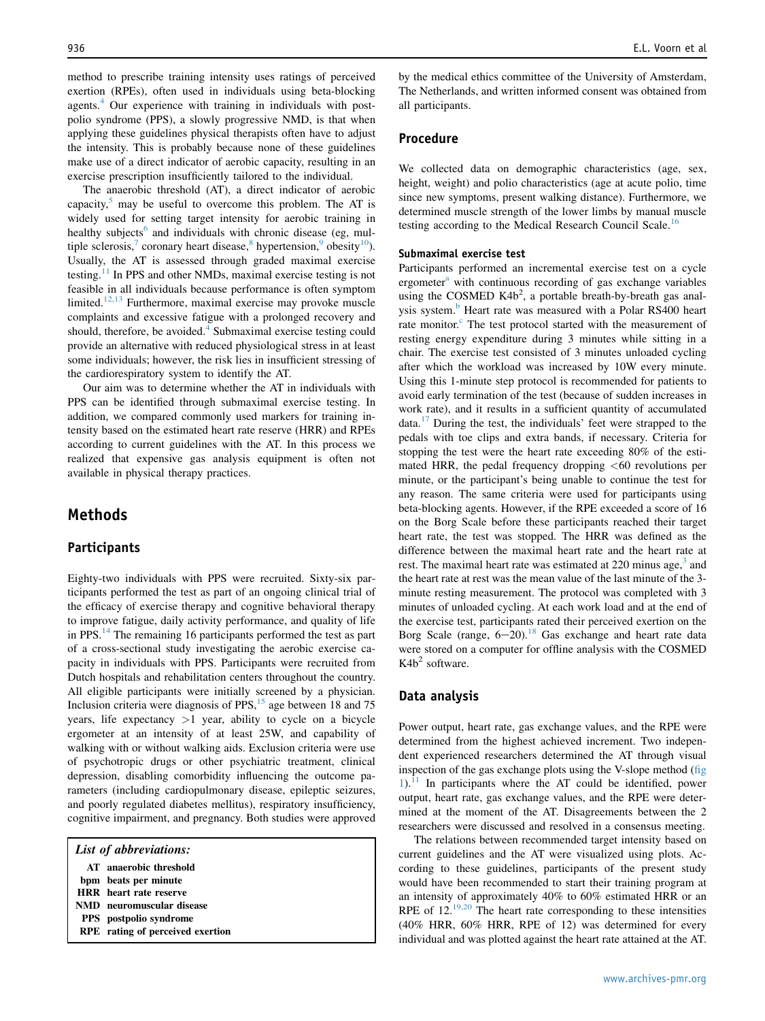method to prescribe training intensity uses ratings of perceived exertion (RPEs), often used in individuals using beta-blocking agents.<sup>[4](#page-5-0)</sup> Our experience with training in individuals with postpolio syndrome (PPS), a slowly progressive NMD, is that when applying these guidelines physical therapists often have to adjust the intensity. This is probably because none of these guidelines make use of a direct indicator of aerobic capacity, resulting in an exercise prescription insufficiently tailored to the individual.

The anaerobic threshold (AT), a direct indicator of aerobic capacity, $5$  may be useful to overcome this problem. The AT is widely used for setting target intensity for aerobic training in healthy subjects<sup>[6](#page-5-0)</sup> and individuals with chronic disease (eg, mul-tiple sclerosis,<sup>7</sup> coronary heart disease,<sup>[8](#page-5-0)</sup> hypertension,<sup>[9](#page-5-0)</sup> obesity<sup>[10](#page-5-0)</sup>). Usually, the AT is assessed through graded maximal exercise testing.[11](#page-5-0) In PPS and other NMDs, maximal exercise testing is not feasible in all individuals because performance is often symptom limited.<sup>[12,13](#page-5-0)</sup> Furthermore, maximal exercise may provoke muscle complaints and excessive fatigue with a prolonged recovery and should, therefore, be avoided.<sup>[4](#page-5-0)</sup> Submaximal exercise testing could provide an alternative with reduced physiological stress in at least some individuals; however, the risk lies in insufficient stressing of the cardiorespiratory system to identify the AT.

Our aim was to determine whether the AT in individuals with PPS can be identified through submaximal exercise testing. In addition, we compared commonly used markers for training intensity based on the estimated heart rate reserve (HRR) and RPEs according to current guidelines with the AT. In this process we realized that expensive gas analysis equipment is often not available in physical therapy practices.

## Methods

#### **Participants**

Eighty-two individuals with PPS were recruited. Sixty-six participants performed the test as part of an ongoing clinical trial of the efficacy of exercise therapy and cognitive behavioral therapy to improve fatigue, daily activity performance, and quality of life in PPS.<sup>[14](#page-5-0)</sup> The remaining 16 participants performed the test as part of a cross-sectional study investigating the aerobic exercise capacity in individuals with PPS. Participants were recruited from Dutch hospitals and rehabilitation centers throughout the country. All eligible participants were initially screened by a physician. Inclusion criteria were diagnosis of  $PPS<sub>15</sub>$  age between 18 and 75 years, life expectancy  $>1$  year, ability to cycle on a bicycle ergometer at an intensity of at least 25W, and capability of walking with or without walking aids. Exclusion criteria were use of psychotropic drugs or other psychiatric treatment, clinical depression, disabling comorbidity influencing the outcome parameters (including cardiopulmonary disease, epileptic seizures, and poorly regulated diabetes mellitus), respiratory insufficiency, cognitive impairment, and pregnancy. Both studies were approved

| List of abbreviations:                  |
|-----------------------------------------|
| AT anaerobic threshold                  |
| bpm beats per minute                    |
| <b>HRR</b> heart rate reserve           |
| NMD neuromuscular disease               |
| <b>PPS</b> postpolio syndrome           |
| <b>RPE</b> rating of perceived exertion |

by the medical ethics committee of the University of Amsterdam, The Netherlands, and written informed consent was obtained from all participants.

#### Procedure

We collected data on demographic characteristics (age, sex, height, weight) and polio characteristics (age at acute polio, time since new symptoms, present walking distance). Furthermore, we determined muscle strength of the lower limbs by manual muscle testing according to the Medical Research Council Scale.<sup>[16](#page-5-0)</sup>

#### Submaximal exercise test

Participants performed an incremental exercise test on a cycle ergometer<sup>a</sup> with continuous recording of gas exchange variables using the COSMED  $K4b^2$ , a portable breath-by-breath gas analysis system.<sup>b</sup> Heart rate was measured with a Polar RS400 heart rate monitor.<sup>c</sup> The test protocol started with the measurement of resting energy expenditure during 3 minutes while sitting in a chair. The exercise test consisted of 3 minutes unloaded cycling after which the workload was increased by 10W every minute. Using this 1-minute step protocol is recommended for patients to avoid early termination of the test (because of sudden increases in work rate), and it results in a sufficient quantity of accumulated data. $17$  During the test, the individuals' feet were strapped to the pedals with toe clips and extra bands, if necessary. Criteria for stopping the test were the heart rate exceeding 80% of the estimated HRR, the pedal frequency dropping <60 revolutions per minute, or the participant's being unable to continue the test for any reason. The same criteria were used for participants using beta-blocking agents. However, if the RPE exceeded a score of 16 on the Borg Scale before these participants reached their target heart rate, the test was stopped. The HRR was defined as the difference between the maximal heart rate and the heart rate at rest. The maximal heart rate was estimated at  $220$  minus age,<sup>[3](#page-5-0)</sup> and the heart rate at rest was the mean value of the last minute of the 3 minute resting measurement. The protocol was completed with 3 minutes of unloaded cycling. At each work load and at the end of the exercise test, participants rated their perceived exertion on the Borg Scale (range,  $6-20$ ).<sup>[18](#page-5-0)</sup> Gas exchange and heart rate data were stored on a computer for offline analysis with the COSMED  $K4b<sup>2</sup>$  software.

#### Data analysis

Power output, heart rate, gas exchange values, and the RPE were determined from the highest achieved increment. Two independent experienced researchers determined the AT through visual inspection of the gas exchange plots using the V-slope method [\(fig](#page-2-0)  $1$ ).<sup>11</sup> In participants where the AT could be identified, power output, heart rate, gas exchange values, and the RPE were determined at the moment of the AT. Disagreements between the 2 researchers were discussed and resolved in a consensus meeting.

The relations between recommended target intensity based on current guidelines and the AT were visualized using plots. According to these guidelines, participants of the present study would have been recommended to start their training program at an intensity of approximately 40% to 60% estimated HRR or an RPE of 12.<sup>19,20</sup> The heart rate corresponding to these intensities (40% HRR, 60% HRR, RPE of 12) was determined for every individual and was plotted against the heart rate attained at the AT.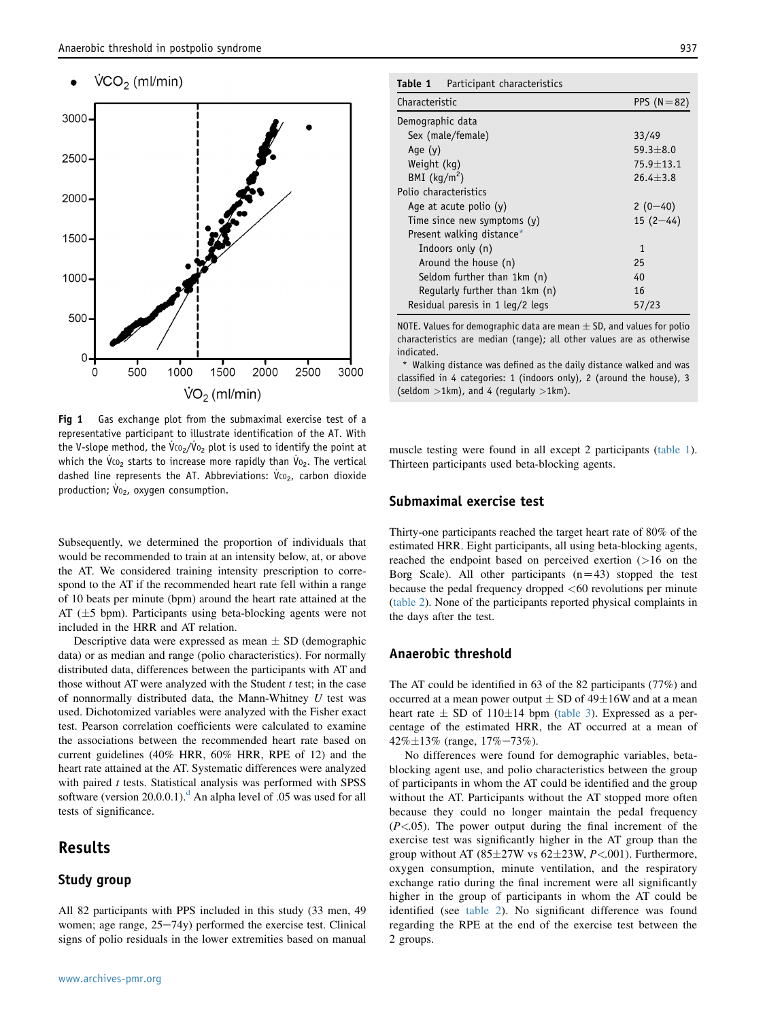#### <span id="page-2-0"></span> $VCO<sub>2</sub>$  (ml/min)



Fig 1 Gas exchange plot from the submaximal exercise test of a representative participant to illustrate identification of the AT. With the V-slope method, the  $\dot{\rm V}$ co<sub>2</sub>/ $\dot{\rm V}$ o<sub>2</sub> plot is used to identify the point at which the Vco<sub>2</sub> starts to increase more rapidly than Vo<sub>2</sub>. The vertical dashed line represents the AT. Abbreviations:  $\dot{V}$ co<sub>2</sub>, carbon dioxide production; Vo<sub>2</sub>, oxygen consumption.

Subsequently, we determined the proportion of individuals that would be recommended to train at an intensity below, at, or above the AT. We considered training intensity prescription to correspond to the AT if the recommended heart rate fell within a range of 10 beats per minute (bpm) around the heart rate attained at the AT  $(\pm 5$  bpm). Participants using beta-blocking agents were not included in the HRR and AT relation.

Descriptive data were expressed as mean  $\pm$  SD (demographic data) or as median and range (polio characteristics). For normally distributed data, differences between the participants with AT and those without AT were analyzed with the Student  $t$  test; in the case of nonnormally distributed data, the Mann-Whitney  $U$  test was used. Dichotomized variables were analyzed with the Fisher exact test. Pearson correlation coefficients were calculated to examine the associations between the recommended heart rate based on current guidelines (40% HRR, 60% HRR, RPE of 12) and the heart rate attained at the AT. Systematic differences were analyzed with paired  $t$  tests. Statistical analysis was performed with SPSS software (version  $20.0.0.1$ ).<sup>d</sup> An alpha level of .05 was used for all tests of significance.

## Results

#### Study group

All 82 participants with PPS included in this study (33 men, 49 women; age range,  $25-74y$ ) performed the exercise test. Clinical signs of polio residuals in the lower extremities based on manual

#### Table 1 Participant characteristics

| Characteristic                        | PPS $(N=82)$    |  |
|---------------------------------------|-----------------|--|
| Demographic data                      |                 |  |
| Sex (male/female)                     | 33/49           |  |
| Age $(y)$                             | $59.3 \pm 8.0$  |  |
| Weight (kg)                           | $75.9 \pm 13.1$ |  |
| BMI $(kg/m2)$                         | $26.4 + 3.8$    |  |
| Polio characteristics                 |                 |  |
| Age at acute polio $(y)$              | $2(0-40)$       |  |
| Time since new symptoms (y)           | $15(2-44)$      |  |
| Present walking distance <sup>*</sup> |                 |  |
| Indoors only (n)                      | 1               |  |
| Around the house (n)                  | 25              |  |
| Seldom further than 1km (n)           | 40              |  |
| Regularly further than 1km (n)        | 16              |  |
| Residual paresis in 1 leg/2 legs      | 57/23           |  |

NOTE. Values for demographic data are mean  $\pm$  SD, and values for polio characteristics are median (range); all other values are as otherwise indicated.

Walking distance was defined as the daily distance walked and was classified in 4 categories: 1 (indoors only), 2 (around the house), 3 (seldom  $>1$ km), and 4 (regularly  $>1$ km).

muscle testing were found in all except 2 participants (table 1). Thirteen participants used beta-blocking agents.

#### Submaximal exercise test

Thirty-one participants reached the target heart rate of 80% of the estimated HRR. Eight participants, all using beta-blocking agents, reached the endpoint based on perceived exertion (>16 on the Borg Scale). All other participants  $(n=43)$  stopped the test because the pedal frequency dropped <60 revolutions per minute [\(table 2\)](#page-3-0). None of the participants reported physical complaints in the days after the test.

#### Anaerobic threshold

The AT could be identified in 63 of the 82 participants (77%) and occurred at a mean power output  $\pm$  SD of 49 $\pm$ 16W and at a mean heart rate  $\pm$  SD of 110 $\pm$ 14 bpm [\(table 3](#page-3-0)). Expressed as a percentage of the estimated HRR, the AT occurred at a mean of  $42\% \pm 13\%$  (range,  $17\% - 73\%$ ).

No differences were found for demographic variables, betablocking agent use, and polio characteristics between the group of participants in whom the AT could be identified and the group without the AT. Participants without the AT stopped more often because they could no longer maintain the pedal frequency  $(P<.05)$ . The power output during the final increment of the exercise test was significantly higher in the AT group than the group without AT (85 $\pm$ 27W vs 62 $\pm$ 23W, P<.001). Furthermore, oxygen consumption, minute ventilation, and the respiratory exchange ratio during the final increment were all significantly higher in the group of participants in whom the AT could be identified (see [table 2](#page-3-0)). No significant difference was found regarding the RPE at the end of the exercise test between the 2 groups.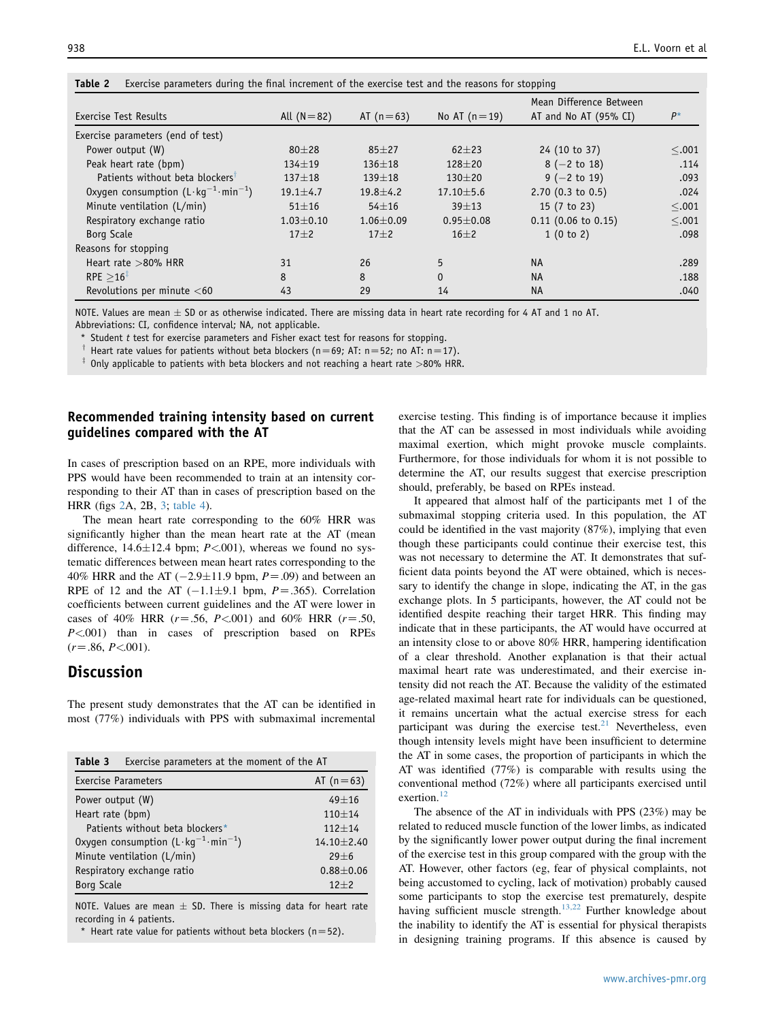| Exercise Test Results                                  | All $(N=82)$    | AT $(n=63)$     | No AT $(n=19)$  | Mean Difference Between<br>AT and No AT (95% CI) | $P^*$  |
|--------------------------------------------------------|-----------------|-----------------|-----------------|--------------------------------------------------|--------|
| Exercise parameters (end of test)                      |                 |                 |                 |                                                  |        |
| Power output (W)                                       | $80 + 28$       | $85 + 27$       | $62 + 23$       | 24 (10 to 37)                                    | < .001 |
| Peak heart rate (bpm)                                  | $134 + 19$      | $136 + 18$      | $128 + 20$      | $8 (-2 to 18)$                                   | .114   |
| Patients without beta blockers <sup>1</sup>            | $137 + 18$      | $139 + 18$      | $130 + 20$      | $9$ (-2 to 19)                                   | .093   |
| Oxygen consumption $(L \cdot k g^{-1} \cdot min^{-1})$ | $19.1 \pm 4.7$  | $19.8 \pm 4.2$  | $17.10 \pm 5.6$ | $2.70$ (0.3 to 0.5)                              | .024   |
| Minute ventilation (L/min)                             | $51 + 16$       | $54 + 16$       | $39 + 13$       | 15 (7 to 23)                                     | < .001 |
| Respiratory exchange ratio                             | $1.03 \pm 0.10$ | $1.06 \pm 0.09$ | $0.95 + 0.08$   | $0.11$ (0.06 to 0.15)                            | < .001 |
| Borg Scale                                             | $17\pm2$        | $17\pm2$        | $16\pm2$        | 1(0 to 2)                                        | .098   |
| Reasons for stopping                                   |                 |                 |                 |                                                  |        |
| Heart rate $>80\%$ HRR                                 | 31              | 26              | 5               | <b>NA</b>                                        | .289   |
| RPE > 16 <sup>1</sup>                                  | 8               | 8               | $\Omega$        | <b>NA</b>                                        | .188   |
| Revolutions per minute $<$ 60                          | 43              | 29              | 14              | <b>NA</b>                                        | .040   |

<span id="page-3-0"></span>Table 2 Exercise parameters during the final increment of the exercise test and the reasons for stopping

NOTE. Values are mean  $\pm$  SD or as otherwise indicated. There are missing data in heart rate recording for 4 AT and 1 no AT.

Abbreviations: CI, confidence interval; NA, not applicable.

\* Student t test for exercise parameters and Fisher exact test for reasons for stopping.

<sup>†</sup> Heart rate values for patients without beta blockers (n=69; AT: n=52; no AT: n=17).

 $\overline{a}$  Only applicable to patients with beta blockers and not reaching a heart rate >80% HRR.

#### Recommended training intensity based on current guidelines compared with the AT

In cases of prescription based on an RPE, more individuals with PPS would have been recommended to train at an intensity corresponding to their AT than in cases of prescription based on the HRR (figs [2](#page-4-0)A, 2B, [3](#page-4-0); [table 4\)](#page-4-0).

The mean heart rate corresponding to the 60% HRR was significantly higher than the mean heart rate at the AT (mean difference,  $14.6\pm12.4$  bpm;  $P<.001$ ), whereas we found no systematic differences between mean heart rates corresponding to the 40% HRR and the AT  $(-2.9 \pm 11.9 \text{ bpm}, P=0.09)$  and between an RPE of 12 and the AT  $(-1.1\pm9.1$  bpm,  $P=.365$ ). Correlation coefficients between current guidelines and the AT were lower in cases of 40% HRR ( $r = .56$ ,  $P < .001$ ) and 60% HRR ( $r = .50$ ,  $P \leq 0.001$ ) than in cases of prescription based on RPEs  $(r=.86, P \le 001).$ 

## **Discussion**

The present study demonstrates that the AT can be identified in most (77%) individuals with PPS with submaximal incremental

| Exercise parameters at the moment of the AT<br>Table 3 |                  |
|--------------------------------------------------------|------------------|
| <b>Exercise Parameters</b>                             | AT $(n=63)$      |
| Power output (W)                                       | $49 + 16$        |
| Heart rate (bpm)                                       | $110 + 14$       |
| Patients without beta blockers*                        | $112 + 14$       |
| Oxygen consumption $(L \cdot k g^{-1} \cdot min^{-1})$ | $14.10 \pm 2.40$ |
| Minute ventilation (L/min)                             | $29 + 6$         |
| Respiratory exchange ratio                             | $0.88 + 0.06$    |
| <b>Borg Scale</b>                                      | $12 + 2$         |

NOTE. Values are mean  $\pm$  SD. There is missing data for heart rate recording in 4 patients.

Heart rate value for patients without beta blockers (n=52).

exercise testing. This finding is of importance because it implies that the AT can be assessed in most individuals while avoiding maximal exertion, which might provoke muscle complaints. Furthermore, for those individuals for whom it is not possible to determine the AT, our results suggest that exercise prescription should, preferably, be based on RPEs instead.

It appeared that almost half of the participants met 1 of the submaximal stopping criteria used. In this population, the AT could be identified in the vast majority (87%), implying that even though these participants could continue their exercise test, this was not necessary to determine the AT. It demonstrates that sufficient data points beyond the AT were obtained, which is necessary to identify the change in slope, indicating the AT, in the gas exchange plots. In 5 participants, however, the AT could not be identified despite reaching their target HRR. This finding may indicate that in these participants, the AT would have occurred at an intensity close to or above 80% HRR, hampering identification of a clear threshold. Another explanation is that their actual maximal heart rate was underestimated, and their exercise intensity did not reach the AT. Because the validity of the estimated age-related maximal heart rate for individuals can be questioned, it remains uncertain what the actual exercise stress for each participant was during the exercise test. $21$  Nevertheless, even though intensity levels might have been insufficient to determine the AT in some cases, the proportion of participants in which the AT was identified (77%) is comparable with results using the conventional method (72%) where all participants exercised until exertion.<sup>[12](#page-5-0)</sup>

The absence of the AT in individuals with PPS (23%) may be related to reduced muscle function of the lower limbs, as indicated by the significantly lower power output during the final increment of the exercise test in this group compared with the group with the AT. However, other factors (eg, fear of physical complaints, not being accustomed to cycling, lack of motivation) probably caused some participants to stop the exercise test prematurely, despite having sufficient muscle strength.<sup>[13,22](#page-5-0)</sup> Further knowledge about the inability to identify the AT is essential for physical therapists in designing training programs. If this absence is caused by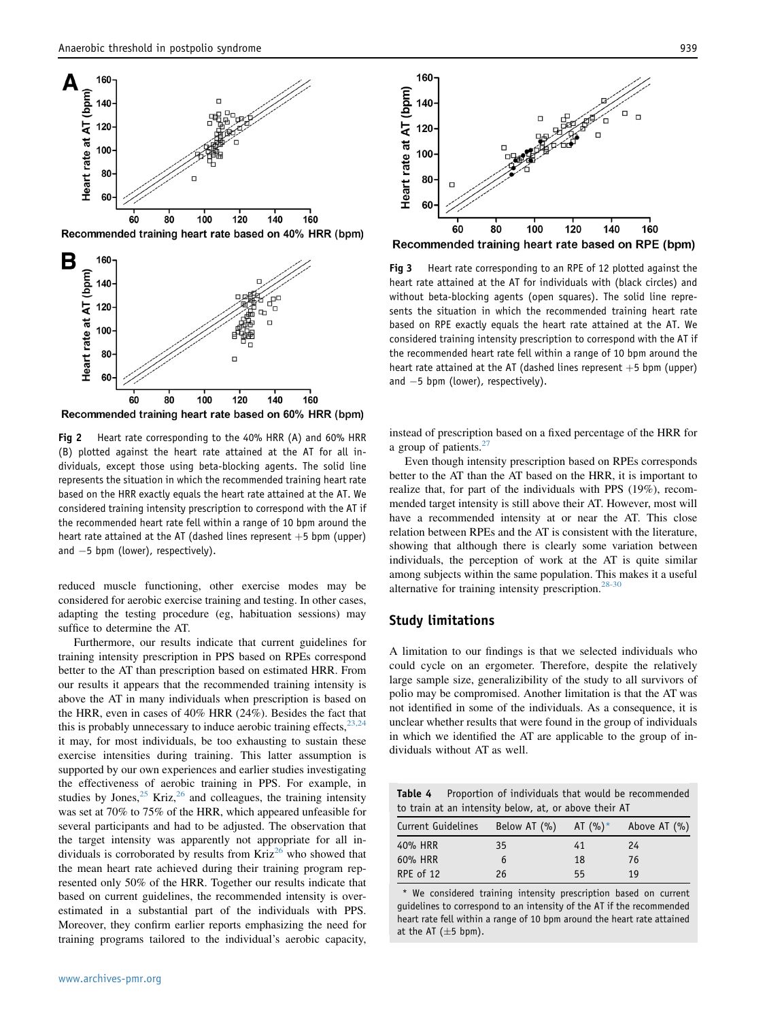<span id="page-4-0"></span>

Recommended training heart rate based on 40% HRR (bpm)



Recommended training heart rate based on 60% HRR (bpm)

Fig 2 Heart rate corresponding to the 40% HRR (A) and 60% HRR (B) plotted against the heart rate attained at the AT for all individuals, except those using beta-blocking agents. The solid line represents the situation in which the recommended training heart rate based on the HRR exactly equals the heart rate attained at the AT. We considered training intensity prescription to correspond with the AT if the recommended heart rate fell within a range of 10 bpm around the heart rate attained at the AT (dashed lines represent  $+5$  bpm (upper) and  $-5$  bpm (lower), respectively).

reduced muscle functioning, other exercise modes may be considered for aerobic exercise training and testing. In other cases, adapting the testing procedure (eg, habituation sessions) may suffice to determine the AT.

Furthermore, our results indicate that current guidelines for training intensity prescription in PPS based on RPEs correspond better to the AT than prescription based on estimated HRR. From our results it appears that the recommended training intensity is above the AT in many individuals when prescription is based on the HRR, even in cases of 40% HRR (24%). Besides the fact that this is probably unnecessary to induce aerobic training effects,  $23,24$ it may, for most individuals, be too exhausting to sustain these exercise intensities during training. This latter assumption is supported by our own experiences and earlier studies investigating the effectiveness of aerobic training in PPS. For example, in studies by Jones,  $25$  Kriz,  $26$  and colleagues, the training intensity was set at 70% to 75% of the HRR, which appeared unfeasible for several participants and had to be adjusted. The observation that the target intensity was apparently not appropriate for all individuals is corroborated by results from  $Kriz^{20}$  who showed that the mean heart rate achieved during their training program represented only 50% of the HRR. Together our results indicate that based on current guidelines, the recommended intensity is overestimated in a substantial part of the individuals with PPS. Moreover, they confirm earlier reports emphasizing the need for training programs tailored to the individual's aerobic capacity,



Recommended training heart rate based on RPE (bpm)

Fig 3 Heart rate corresponding to an RPE of 12 plotted against the heart rate attained at the AT for individuals with (black circles) and without beta-blocking agents (open squares). The solid line represents the situation in which the recommended training heart rate based on RPE exactly equals the heart rate attained at the AT. We considered training intensity prescription to correspond with the AT if the recommended heart rate fell within a range of 10 bpm around the heart rate attained at the AT (dashed lines represent  $+5$  bpm (upper) and  $-5$  bpm (lower), respectively).

instead of prescription based on a fixed percentage of the HRR for a group of patients.<sup>2</sup>

Even though intensity prescription based on RPEs corresponds better to the AT than the AT based on the HRR, it is important to realize that, for part of the individuals with PPS (19%), recommended target intensity is still above their AT. However, most will have a recommended intensity at or near the AT. This close relation between RPEs and the AT is consistent with the literature, showing that although there is clearly some variation between individuals, the perception of work at the AT is quite similar among subjects within the same population. This makes it a useful alternative for training intensity prescription.<sup>[28-30](#page-5-0)</sup>

#### Study limitations

A limitation to our findings is that we selected individuals who could cycle on an ergometer. Therefore, despite the relatively large sample size, generalizibility of the study to all survivors of polio may be compromised. Another limitation is that the AT was not identified in some of the individuals. As a consequence, it is unclear whether results that were found in the group of individuals in which we identified the AT are applicable to the group of individuals without AT as well.

| <b>Table 4</b> Proportion of individuals that would be recommended |
|--------------------------------------------------------------------|
| to train at an intensity below, at, or above their AT              |

| Current Guidelines | Below AT $(% )$ AT $(% )^*$ |    | Above AT (%) |
|--------------------|-----------------------------|----|--------------|
| 40% HRR            | 35                          | 41 | 24           |
| 60% HRR            | 6                           | 18 | 76           |
| RPE of 12          | 26                          | 55 | 19           |

\* We considered training intensity prescription based on current guidelines to correspond to an intensity of the AT if the recommended heart rate fell within a range of 10 bpm around the heart rate attained at the AT  $(\pm 5$  bpm).